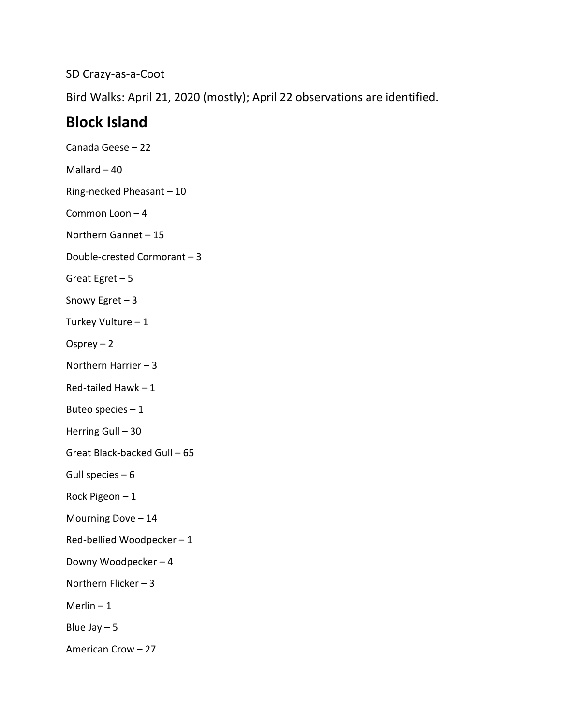SD Crazy-as-a-Coot

Bird Walks: April 21, 2020 (mostly); April 22 observations are identified.

## **Block Island**

Canada Geese – 22 Mallard  $-40$ Ring-necked Pheasant – 10 Common Loon – 4 Northern Gannet – 15 Double-crested Cormorant – 3 Great Egret – 5 Snowy Egret – 3 Turkey Vulture – 1 Osprey  $-2$ Northern Harrier – 3 Red-tailed Hawk – 1 Buteo species – 1 Herring Gull – 30 Great Black-backed Gull – 65 Gull species  $-6$ Rock Pigeon – 1 Mourning Dove – 14 Red-bellied Woodpecker – 1 Downy Woodpecker – 4 Northern Flicker – 3 Merlin  $-1$ Blue Jay  $-5$ American Crow – 27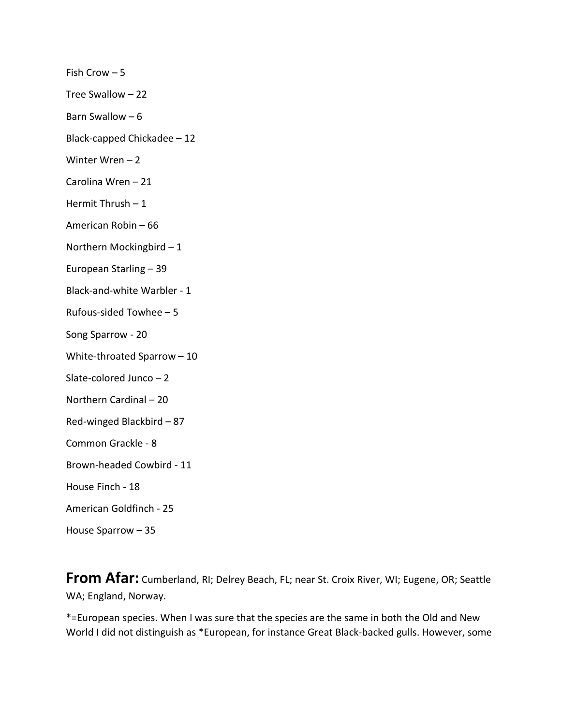Fish Crow – 5

Tree Swallow – 22

Barn Swallow  $-6$ 

Black-capped Chickadee – 12

Winter Wren – 2

Carolina Wren – 21

Hermit Thrush  $-1$ 

American Robin – 66

Northern Mockingbird – 1

European Starling – 39

Black-and-white Warbler - 1

Rufous-sided Towhee – 5

Song Sparrow - 20

White-throated Sparrow – 10

Slate-colored Junco – 2

Northern Cardinal – 20

Red-winged Blackbird – 87

Common Grackle - 8

Brown-headed Cowbird - 11

House Finch - 18

American Goldfinch - 25

House Sparrow – 35

**From Afar:** Cumberland, RI; Delrey Beach, FL; near St. Croix River, WI; Eugene, OR; Seattle WA; England, Norway.

\*=European species. When I was sure that the species are the same in both the Old and New World I did not distinguish as \*European, for instance Great Black-backed gulls. However, some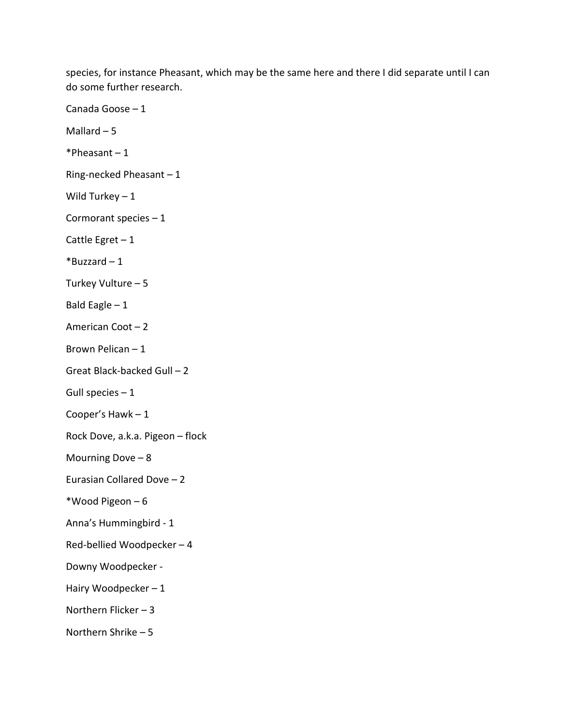species, for instance Pheasant, which may be the same here and there I did separate until I can do some further research.

Canada Goose – 1 Mallard  $-5$  $*Pheasant - 1$ Ring-necked Pheasant – 1 Wild Turkey  $-1$ Cormorant species – 1 Cattle Egret  $-1$ \*Buzzard – 1 Turkey Vulture – 5 Bald Eagle  $-1$ American Coot – 2 Brown Pelican – 1 Great Black-backed Gull – 2 Gull species  $-1$ Cooper's Hawk – 1 Rock Dove, a.k.a. Pigeon – flock Mourning Dove  $-8$ Eurasian Collared Dove – 2 \*Wood Pigeon – 6 Anna's Hummingbird - 1 Red-bellied Woodpecker – 4 Downy Woodpecker - Hairy Woodpecker – 1 Northern Flicker – 3 Northern Shrike – 5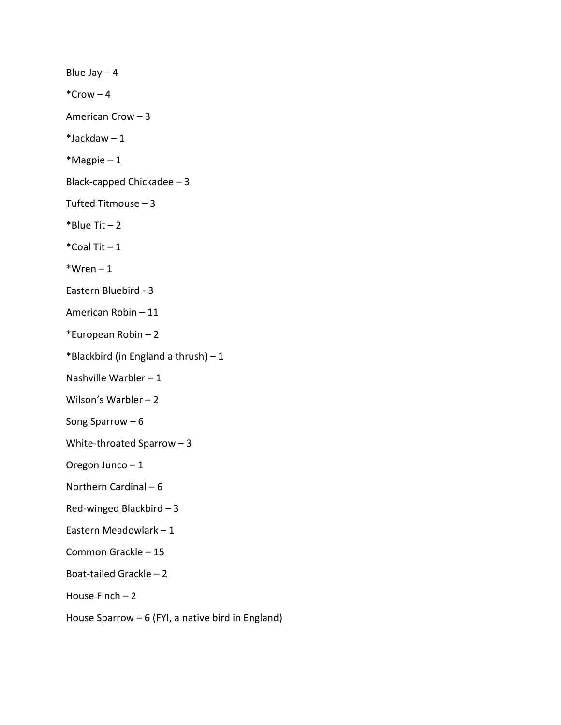Blue Jay  $-4$  $*Crow - 4$ American Crow – 3  $*$ Jackdaw – 1 \*Magpie – 1 Black-capped Chickadee – 3 Tufted Titmouse – 3  $*$ Blue Tit – 2  $*$ Coal Tit  $-1$  $*Wren - 1$ Eastern Bluebird - 3 American Robin – 11 \*European Robin – 2 \*Blackbird (in England a thrush)  $-1$ Nashville Warbler – 1 Wilson's Warbler – 2 Song Sparrow – 6 White-throated Sparrow – 3 Oregon Junco – 1 Northern Cardinal – 6 Red-winged Blackbird – 3 Eastern Meadowlark – 1 Common Grackle – 15 Boat-tailed Grackle – 2 House Finch  $-2$ House Sparrow – 6 (FYI, a native bird in England)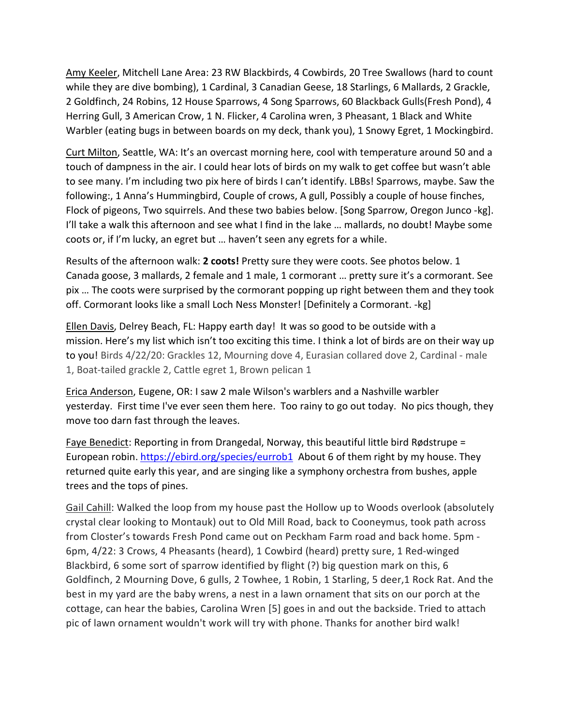Amy Keeler, Mitchell Lane Area: 23 RW Blackbirds, 4 Cowbirds, 20 Tree Swallows (hard to count while they are dive bombing), 1 Cardinal, 3 Canadian Geese, 18 Starlings, 6 Mallards, 2 Grackle, 2 Goldfinch, 24 Robins, 12 House Sparrows, 4 Song Sparrows, 60 Blackback Gulls(Fresh Pond), 4 Herring Gull, 3 American Crow, 1 N. Flicker, 4 Carolina wren, 3 Pheasant, 1 Black and White Warbler (eating bugs in between boards on my deck, thank you), 1 Snowy Egret, 1 Mockingbird.

Curt Milton, Seattle, WA: It's an overcast morning here, cool with temperature around 50 and a touch of dampness in the air. I could hear lots of birds on my walk to get coffee but wasn't able to see many. I'm including two pix here of birds I can't identify. LBBs! Sparrows, maybe. Saw the following:, 1 Anna's Hummingbird, Couple of crows, A gull, Possibly a couple of house finches, Flock of pigeons, Two squirrels. And these two babies below. [Song Sparrow, Oregon Junco -kg]. I'll take a walk this afternoon and see what I find in the lake … mallards, no doubt! Maybe some coots or, if I'm lucky, an egret but … haven't seen any egrets for a while.

Results of the afternoon walk: **2 coots!** Pretty sure they were coots. See photos below. 1 Canada goose, 3 mallards, 2 female and 1 male, 1 cormorant … pretty sure it's a cormorant. See pix … The coots were surprised by the cormorant popping up right between them and they took off. Cormorant looks like a small Loch Ness Monster! [Definitely a Cormorant. -kg]

Ellen Davis, Delrey Beach, FL: Happy earth day! It was so good to be outside with a mission. Here's my list which isn't too exciting this time. I think a lot of birds are on their way up to you! Birds 4/22/20: Grackles 12, Mourning dove 4, Eurasian collared dove 2, Cardinal - male 1, Boat-tailed grackle 2, Cattle egret 1, Brown pelican 1

Erica Anderson, Eugene, OR: I saw 2 male Wilson's warblers and a Nashville warbler yesterday. First time I've ever seen them here. Too rainy to go out today. No pics though, they move too darn fast through the leaves.

Faye Benedict: Reporting in from Drangedal, Norway, this beautiful little bird Rødstrupe = European robin.<https://ebird.org/species/eurrob1>About 6 of them right by my house. They returned quite early this year, and are singing like a symphony orchestra from bushes, apple trees and the tops of pines.

Gail Cahill: Walked the loop from my house past the Hollow up to Woods overlook (absolutely crystal clear looking to Montauk) out to Old Mill Road, back to Cooneymus, took path across from Closter's towards Fresh Pond came out on Peckham Farm road and back home. 5pm - 6pm, 4/22: 3 Crows, 4 Pheasants (heard), 1 Cowbird (heard) pretty sure, 1 Red-winged Blackbird, 6 some sort of sparrow identified by flight (?) big question mark on this, 6 Goldfinch, 2 Mourning Dove, 6 gulls, 2 Towhee, 1 Robin, 1 Starling, 5 deer,1 Rock Rat. And the best in my yard are the baby wrens, a nest in a lawn ornament that sits on our porch at the cottage, can hear the babies, Carolina Wren [5] goes in and out the backside. Tried to attach pic of lawn ornament wouldn't work will try with phone. Thanks for another bird walk!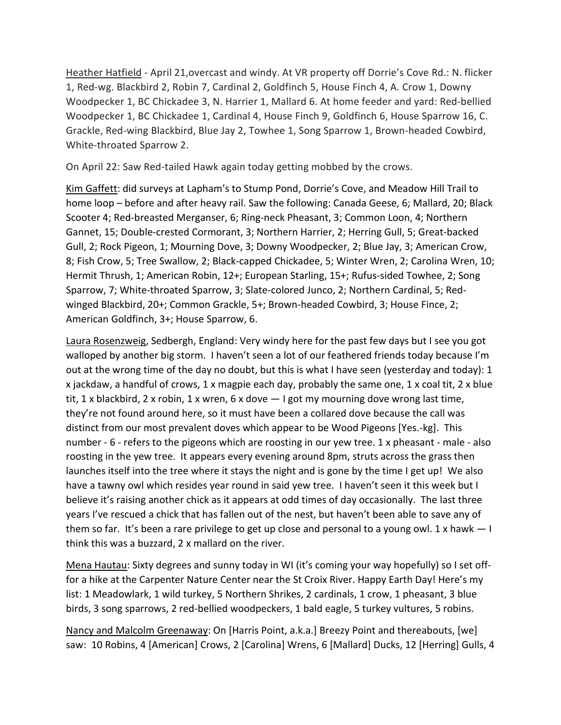Heather Hatfield - April 21,overcast and windy. At VR property off Dorrie's Cove Rd.: N. flicker 1, Red-wg. Blackbird 2, Robin 7, Cardinal 2, Goldfinch 5, House Finch 4, A. Crow 1, Downy Woodpecker 1, BC Chickadee 3, N. Harrier 1, Mallard 6. At home feeder and yard: Red-bellied Woodpecker 1, BC Chickadee 1, Cardinal 4, House Finch 9, Goldfinch 6, House Sparrow 16, C. Grackle, Red-wing Blackbird, Blue Jay 2, Towhee 1, Song Sparrow 1, Brown-headed Cowbird, White-throated Sparrow 2.

On April 22: Saw Red-tailed Hawk again today getting mobbed by the crows.

Kim Gaffett: did surveys at Lapham's to Stump Pond, Dorrie's Cove, and Meadow Hill Trail to home loop – before and after heavy rail. Saw the following: Canada Geese, 6; Mallard, 20; Black Scooter 4; Red-breasted Merganser, 6; Ring-neck Pheasant, 3; Common Loon, 4; Northern Gannet, 15; Double-crested Cormorant, 3; Northern Harrier, 2; Herring Gull, 5; Great-backed Gull, 2; Rock Pigeon, 1; Mourning Dove, 3; Downy Woodpecker, 2; Blue Jay, 3; American Crow, 8; Fish Crow, 5; Tree Swallow, 2; Black-capped Chickadee, 5; Winter Wren, 2; Carolina Wren, 10; Hermit Thrush, 1; American Robin, 12+; European Starling, 15+; Rufus-sided Towhee, 2; Song Sparrow, 7; White-throated Sparrow, 3; Slate-colored Junco, 2; Northern Cardinal, 5; Redwinged Blackbird, 20+; Common Grackle, 5+; Brown-headed Cowbird, 3; House Fince, 2; American Goldfinch, 3+; House Sparrow, 6.

Laura Rosenzweig, Sedbergh, England: Very windy here for the past few days but I see you got walloped by another big storm. I haven't seen a lot of our feathered friends today because I'm out at the wrong time of the day no doubt, but this is what I have seen (yesterday and today): 1 x jackdaw, a handful of crows, 1 x magpie each day, probably the same one, 1 x coal tit, 2 x blue tit, 1 x blackbird, 2 x robin, 1 x wren, 6 x dove  $-1$  got my mourning dove wrong last time, they're not found around here, so it must have been a collared dove because the call was distinct from our most prevalent doves which appear to be Wood Pigeons [Yes.-kg]. This number - 6 - refers to the pigeons which are roosting in our yew tree. 1 x pheasant - male - also roosting in the yew tree. It appears every evening around 8pm, struts across the grass then launches itself into the tree where it stays the night and is gone by the time I get up! We also have a tawny owl which resides year round in said yew tree. I haven't seen it this week but I believe it's raising another chick as it appears at odd times of day occasionally. The last three years I've rescued a chick that has fallen out of the nest, but haven't been able to save any of them so far. It's been a rare privilege to get up close and personal to a young owl. 1 x hawk  $-1$ think this was a buzzard, 2 x mallard on the river.

Mena Hautau: Sixty degrees and sunny today in WI (it's coming your way hopefully) so I set offfor a hike at the Carpenter Nature Center near the St Croix River. Happy Earth Day! Here's my list: 1 Meadowlark, 1 wild turkey, 5 Northern Shrikes, 2 cardinals, 1 crow, 1 pheasant, 3 blue birds, 3 song sparrows, 2 red-bellied woodpeckers, 1 bald eagle, 5 turkey vultures, 5 robins.

Nancy and Malcolm Greenaway: On [Harris Point, a.k.a.] Breezy Point and thereabouts, [we] saw: 10 Robins, 4 [American] Crows, 2 [Carolina] Wrens, 6 [Mallard] Ducks, 12 [Herring] Gulls, 4